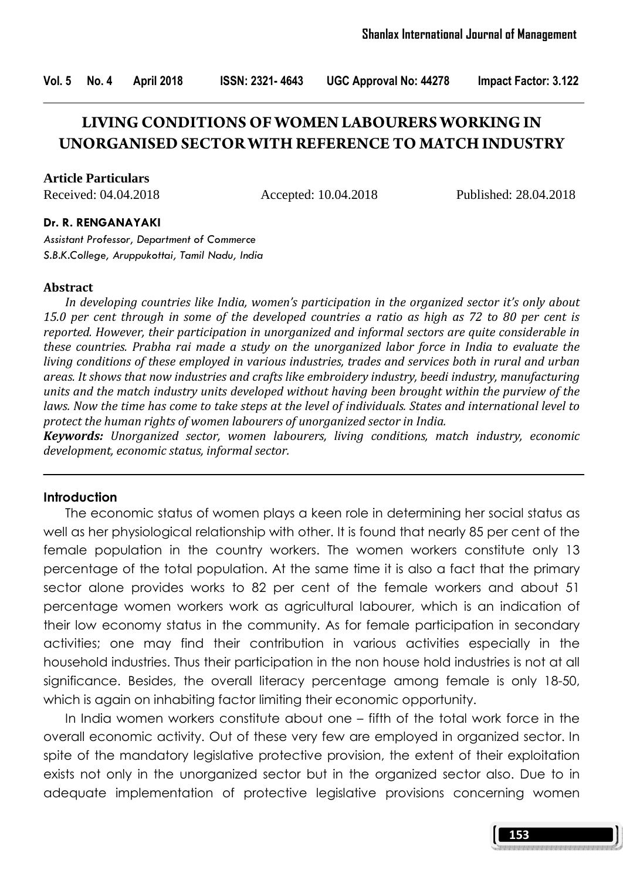Vol. 5 No. 4 April 2018 ISSN: 2321- 4643 UGC Approval No: 44278 Impact Factor: 3.122

# **LIVING CONDITIONS OF WOMEN LABOURERS WORKING IN UNORGANISED SECTOR WITH REFERENCE TO MATCH INDUSTRY**

**Article Particulars**

Received: 04.04.2018 Accepted: 10.04.2018 Published: 28.04.2018

#### Dr. R. RENGANAYAKI

Assistant Professor, Department of Commerce S.B.K.College, Aruppukottai, Tamil Nadu, India

#### Abstract

 In developing countries like India, women's participation in the organized sector it's only about 15.0 per cent through in some of the developed countries a ratio as high as 72 to 80 per cent is reported. However, their participation in unorganized and informal sectors are quite considerable in these countries. Prabha rai made a study on the unorganized labor force in India to evaluate the living conditions of these employed in various industries, trades and services both in rural and urban areas. It shows that now industries and crafts like embroidery industry, beedi industry, manufacturing units and the match industry units developed without having been brought within the purview of the laws. Now the time has come to take steps at the level of individuals. States and international level to protect the human rights of women labourers of unorganized sector in India.

Keywords: Unorganized sector, women labourers, living conditions, match industry, economic development, economic status, informal sector.

#### **Introduction**

 The economic status of women plays a keen role in determining her social status as well as her physiological relationship with other. It is found that nearly 85 per cent of the female population in the country workers. The women workers constitute only 13 percentage of the total population. At the same time it is also a fact that the primary sector alone provides works to 82 per cent of the female workers and about 51 percentage women workers work as agricultural labourer, which is an indication of their low economy status in the community. As for female participation in secondary activities; one may find their contribution in various activities especially in the household industries. Thus their participation in the non house hold industries is not at all significance. Besides, the overall literacy percentage among female is only 18-50, which is again on inhabiting factor limiting their economic opportunity.

 In India women workers constitute about one – fifth of the total work force in the overall economic activity. Out of these very few are employed in organized sector. In spite of the mandatory legislative protective provision, the extent of their exploitation exists not only in the unorganized sector but in the organized sector also. Due to in adequate implementation of protective legislative provisions concerning women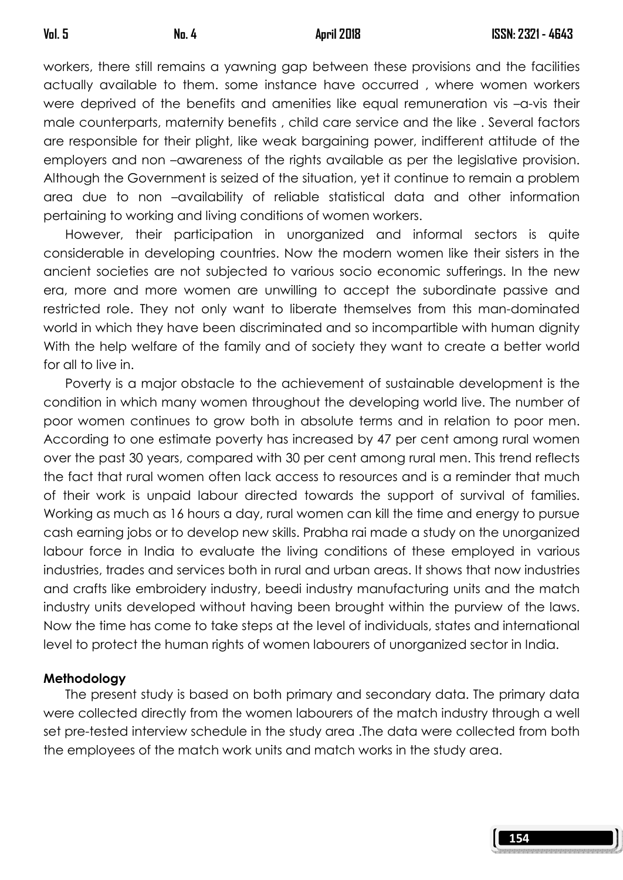workers, there still remains a yawning gap between these provisions and the facilities actually available to them. some instance have occurred , where women workers were deprived of the benefits and amenities like equal remuneration vis –a-vis their male counterparts, maternity benefits , child care service and the like . Several factors are responsible for their plight, like weak bargaining power, indifferent attitude of the employers and non –awareness of the rights available as per the legislative provision. Although the Government is seized of the situation, yet it continue to remain a problem area due to non –availability of reliable statistical data and other information pertaining to working and living conditions of women workers.

 However, their participation in unorganized and informal sectors is quite considerable in developing countries. Now the modern women like their sisters in the ancient societies are not subjected to various socio economic sufferings. In the new era, more and more women are unwilling to accept the subordinate passive and restricted role. They not only want to liberate themselves from this man-dominated world in which they have been discriminated and so incompartible with human dignity With the help welfare of the family and of society they want to create a better world for all to live in.

 Poverty is a major obstacle to the achievement of sustainable development is the condition in which many women throughout the developing world live. The number of poor women continues to grow both in absolute terms and in relation to poor men. According to one estimate poverty has increased by 47 per cent among rural women over the past 30 years, compared with 30 per cent among rural men. This trend reflects the fact that rural women often lack access to resources and is a reminder that much of their work is unpaid labour directed towards the support of survival of families. Working as much as 16 hours a day, rural women can kill the time and energy to pursue cash earning jobs or to develop new skills. Prabha rai made a study on the unorganized labour force in India to evaluate the living conditions of these employed in various industries, trades and services both in rural and urban areas. It shows that now industries and crafts like embroidery industry, beedi industry manufacturing units and the match industry units developed without having been brought within the purview of the laws. Now the time has come to take steps at the level of individuals, states and international level to protect the human rights of women labourers of unorganized sector in India.

#### Methodology

 The present study is based on both primary and secondary data. The primary data were collected directly from the women labourers of the match industry through a well set pre-tested interview schedule in the study area .The data were collected from both the employees of the match work units and match works in the study area.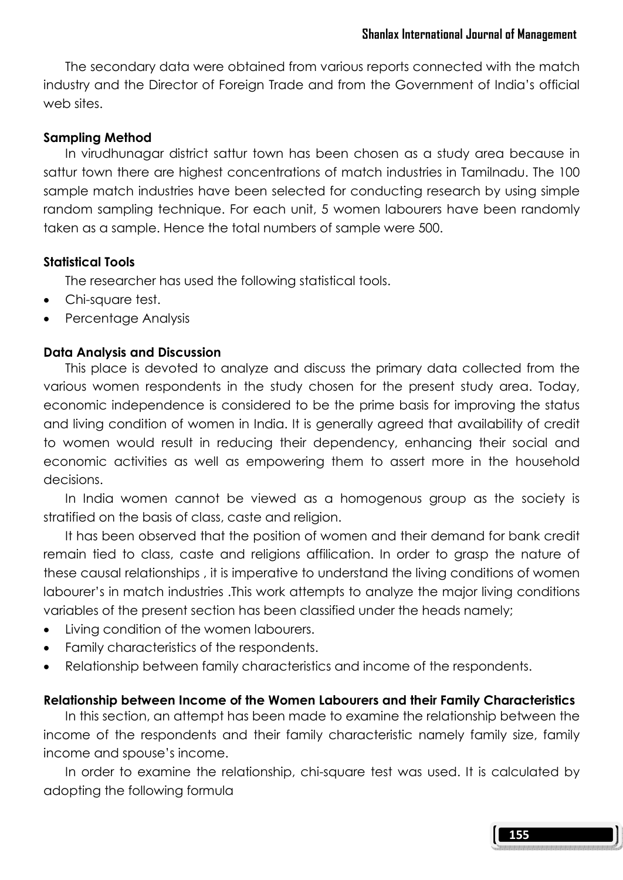The secondary data were obtained from various reports connected with the match industry and the Director of Foreign Trade and from the Government of India's official web sites.

#### Sampling Method

 In virudhunagar district sattur town has been chosen as a study area because in sattur town there are highest concentrations of match industries in Tamilnadu. The 100 sample match industries have been selected for conducting research by using simple random sampling technique. For each unit, 5 women labourers have been randomly taken as a sample. Hence the total numbers of sample were 500.

# Statistical Tools

The researcher has used the following statistical tools.

- Chi-square test.
- Percentage Analysis

# Data Analysis and Discussion

 This place is devoted to analyze and discuss the primary data collected from the various women respondents in the study chosen for the present study area. Today, economic independence is considered to be the prime basis for improving the status and living condition of women in India. It is generally agreed that availability of credit to women would result in reducing their dependency, enhancing their social and economic activities as well as empowering them to assert more in the household decisions.

 In India women cannot be viewed as a homogenous group as the society is stratified on the basis of class, caste and religion.

 It has been observed that the position of women and their demand for bank credit remain tied to class, caste and religions affilication. In order to grasp the nature of these causal relationships , it is imperative to understand the living conditions of women labourer's in match industries .This work attempts to analyze the major living conditions variables of the present section has been classified under the heads namely;

- Living condition of the women labourers.
- Family characteristics of the respondents.
- Relationship between family characteristics and income of the respondents.

# Relationship between Income of the Women Labourers and their Family Characteristics

 In this section, an attempt has been made to examine the relationship between the income of the respondents and their family characteristic namely family size, family income and spouse's income.

 In order to examine the relationship, chi-square test was used. It is calculated by adopting the following formula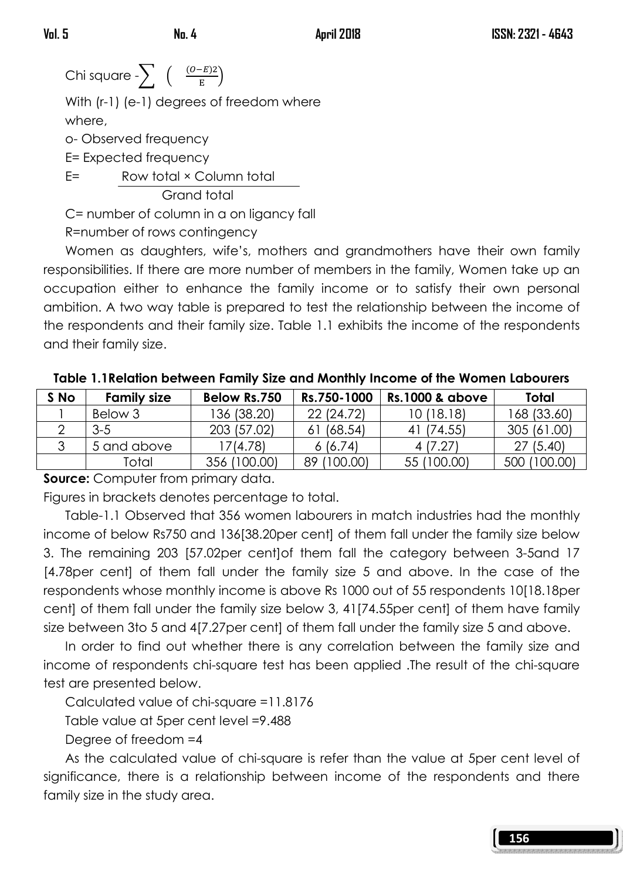Chi square  $\displaystyle\leftarrow \sum_{\mathrm{F}} \left( \begin{array}{c} \frac{(O-E)2}{\mathrm{F}} \end{array} \right)$  $\frac{E}{E}$ )

> With (r-1) (e-1) degrees of freedom where where,

o- Observed frequency

E= Expected frequency

E= Row total × Column total

Grand total

C= number of column in a on ligancy fall

R=number of rows contingency

 Women as daughters, wife's, mothers and grandmothers have their own family responsibilities. If there are more number of members in the family, Women take up an occupation either to enhance the family income or to satisfy their own personal ambition. A two way table is prepared to test the relationship between the income of the respondents and their family size. Table 1.1 exhibits the income of the respondents and their family size.

| S No | <b>Family size</b> | Below Rs.750 | Rs.750-1000 | <b>Rs.1000 &amp; above</b> | Total        |
|------|--------------------|--------------|-------------|----------------------------|--------------|
|      | Below 3            | 136 (38.20)  | 22 (24.72)  | 10(18.18)                  | 168 (33.60)  |
|      | $3-5$              | 203 (57.02)  | 61 (68.54)  | 41 (74.55)                 | 305 (61.00)  |
|      | 5 and above        | 17(4.78)     | 6(6.74)     | 4 (7.27)                   | 27 (5.40)    |
|      | Total              | 356 (100.00) | 89 (100.00) | 55 (100.00)                | 500 (100.00) |

Table 1.1Relation between Family Size and Monthly Income of the Women Labourers

**Source:** Computer from primary data.

Figures in brackets denotes percentage to total.

 Table-1.1 Observed that 356 women labourers in match industries had the monthly income of below Rs750 and 136[38.20per cent] of them fall under the family size below 3. The remaining 203 [57.02per cent]of them fall the category between 3-5and 17 [4.78per cent] of them fall under the family size 5 and above. In the case of the respondents whose monthly income is above Rs 1000 out of 55 respondents 10[18.18per cent] of them fall under the family size below 3, 41[74.55per cent] of them have family size between 3to 5 and 4[7.27per cent] of them fall under the family size 5 and above.

 In order to find out whether there is any correlation between the family size and income of respondents chi-square test has been applied .The result of the chi-square test are presented below.

Calculated value of chi-square =11.8176

Table value at 5per cent level =9.488

Degree of freedom =4

 As the calculated value of chi-square is refer than the value at 5per cent level of significance, there is a relationship between income of the respondents and there family size in the study area.

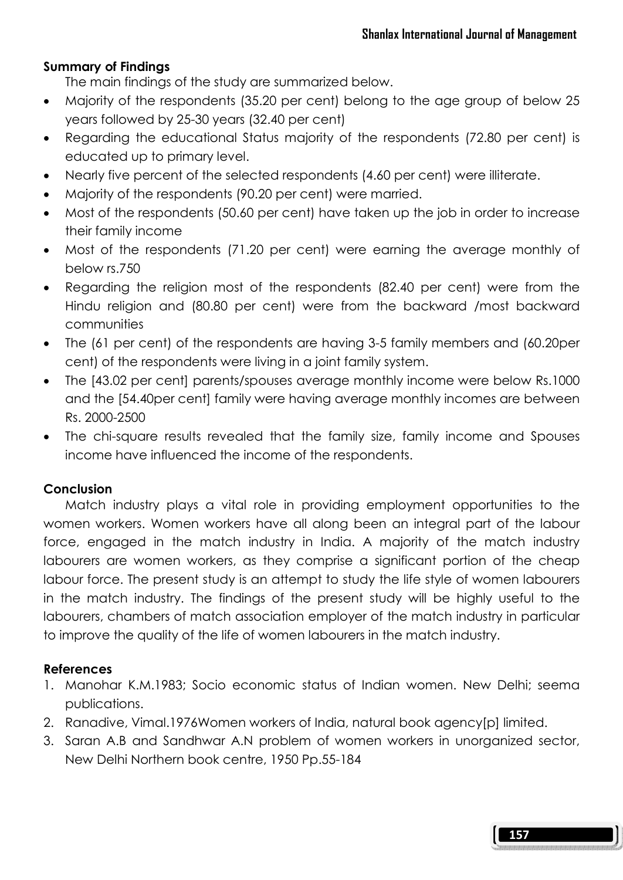#### Summary of Findings

The main findings of the study are summarized below.

- Majority of the respondents (35.20 per cent) belong to the age group of below 25 years followed by 25-30 years (32.40 per cent)
- Regarding the educational Status majority of the respondents (72.80 per cent) is educated up to primary level.
- Nearly five percent of the selected respondents (4.60 per cent) were illiterate.
- Majority of the respondents (90.20 per cent) were married.
- Most of the respondents (50.60 per cent) have taken up the job in order to increase their family income
- Most of the respondents (71.20 per cent) were earning the average monthly of below rs.750
- Regarding the religion most of the respondents (82.40 per cent) were from the Hindu religion and (80.80 per cent) were from the backward /most backward communities
- The (61 per cent) of the respondents are having 3-5 family members and (60.20per cent) of the respondents were living in a joint family system.
- The [43.02 per cent] parents/spouses average monthly income were below Rs.1000 and the [54.40per cent] family were having average monthly incomes are between Rs. 2000-2500
- The chi-square results revealed that the family size, family income and Spouses income have influenced the income of the respondents.

# **Conclusion**

 Match industry plays a vital role in providing employment opportunities to the women workers. Women workers have all along been an integral part of the labour force, engaged in the match industry in India. A majority of the match industry labourers are women workers, as they comprise a significant portion of the cheap labour force. The present study is an attempt to study the life style of women labourers in the match industry. The findings of the present study will be highly useful to the labourers, chambers of match association employer of the match industry in particular to improve the quality of the life of women labourers in the match industry.

# References

- 1. Manohar K.M.1983; Socio economic status of Indian women. New Delhi; seema publications.
- 2. Ranadive, Vimal.1976Women workers of India, natural book agency[p] limited.
- 3. Saran A.B and Sandhwar A.N problem of women workers in unorganized sector, New Delhi Northern book centre, 1950 Pp.55-184